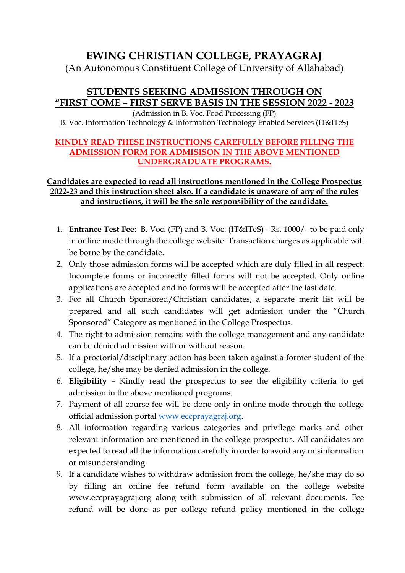## **EWING CHRISTIAN COLLEGE, PRAYAGRAJ**

(An Autonomous Constituent College of University of Allahabad)

## **STUDENTS SEEKING ADMISSION THROUGH ON "FIRST COME – FIRST SERVE BASIS IN THE SESSION 2022 - 2023**

(Admission in B. Voc. Food Processing (FP) B. Voc. Information Technology & Information Technology Enabled Services (IT&ITeS)

## **KINDLY READ THESE INSTRUCTIONS CAREFULLY BEFORE FILLING THE ADMISSION FORM FOR ADMISISON IN THE ABOVE MENTIONED UNDERGRADUATE PROGRAMS.**

## **Candidates are expected to read all instructions mentioned in the College Prospectus 2022-23 and this instruction sheet also. If a candidate is unaware of any of the rules and instructions, it will be the sole responsibility of the candidate.**

- 1. **Entrance Test Fee**: B. Voc. (FP) and B. Voc. (IT&ITeS) Rs. 1000/- to be paid only in online mode through the college website. Transaction charges as applicable will be borne by the candidate.
- 2. Only those admission forms will be accepted which are duly filled in all respect. Incomplete forms or incorrectly filled forms will not be accepted. Only online applications are accepted and no forms will be accepted after the last date.
- 3. For all Church Sponsored/Christian candidates, a separate merit list will be prepared and all such candidates will get admission under the "Church Sponsored" Category as mentioned in the College Prospectus.
- 4. The right to admission remains with the college management and any candidate can be denied admission with or without reason.
- 5. If a proctorial/disciplinary action has been taken against a former student of the college, he/she may be denied admission in the college.
- 6. **Eligibility** Kindly read the prospectus to see the eligibility criteria to get admission in the above mentioned programs.
- 7. Payment of all course fee will be done only in online mode through the college official admission portal [www.eccprayagraj.org.](http://www.eccprayagraj.org/)
- 8. All information regarding various categories and privilege marks and other relevant information are mentioned in the college prospectus. All candidates are expected to read all the information carefully in order to avoid any misinformation or misunderstanding.
- 9. If a candidate wishes to withdraw admission from the college, he/she may do so by filling an online fee refund form available on the college website www.eccprayagraj.org along with submission of all relevant documents. Fee refund will be done as per college refund policy mentioned in the college